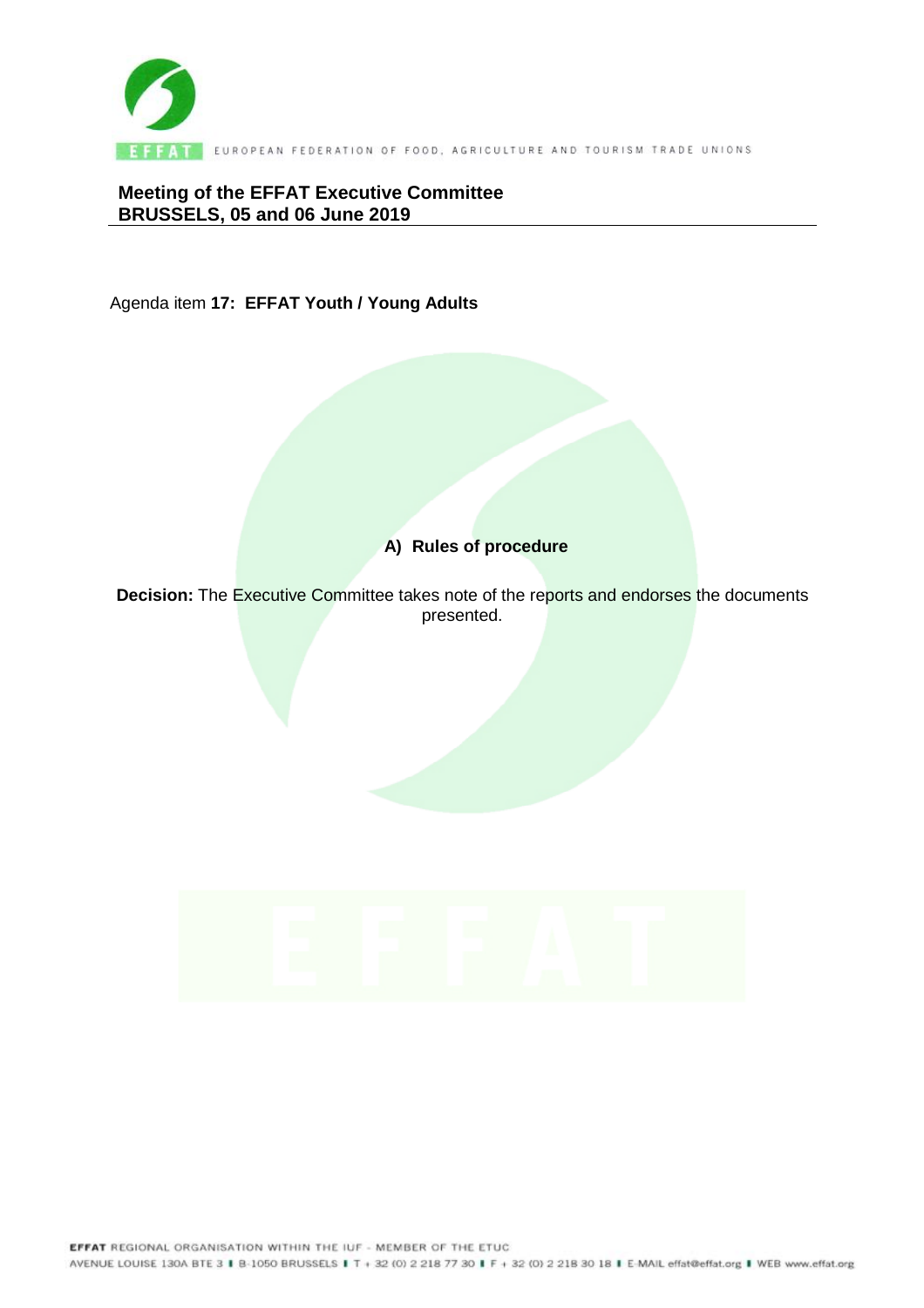

**Meeting of the EFFAT Executive Committee BRUSSELS, 05 and 06 June 2019** 

Agenda item **17: EFFAT Youth / Young Adults** 

# **A) Rules of procedure**

**Decision:** The Executive Committee takes note of the reports and endorses the documents presented.

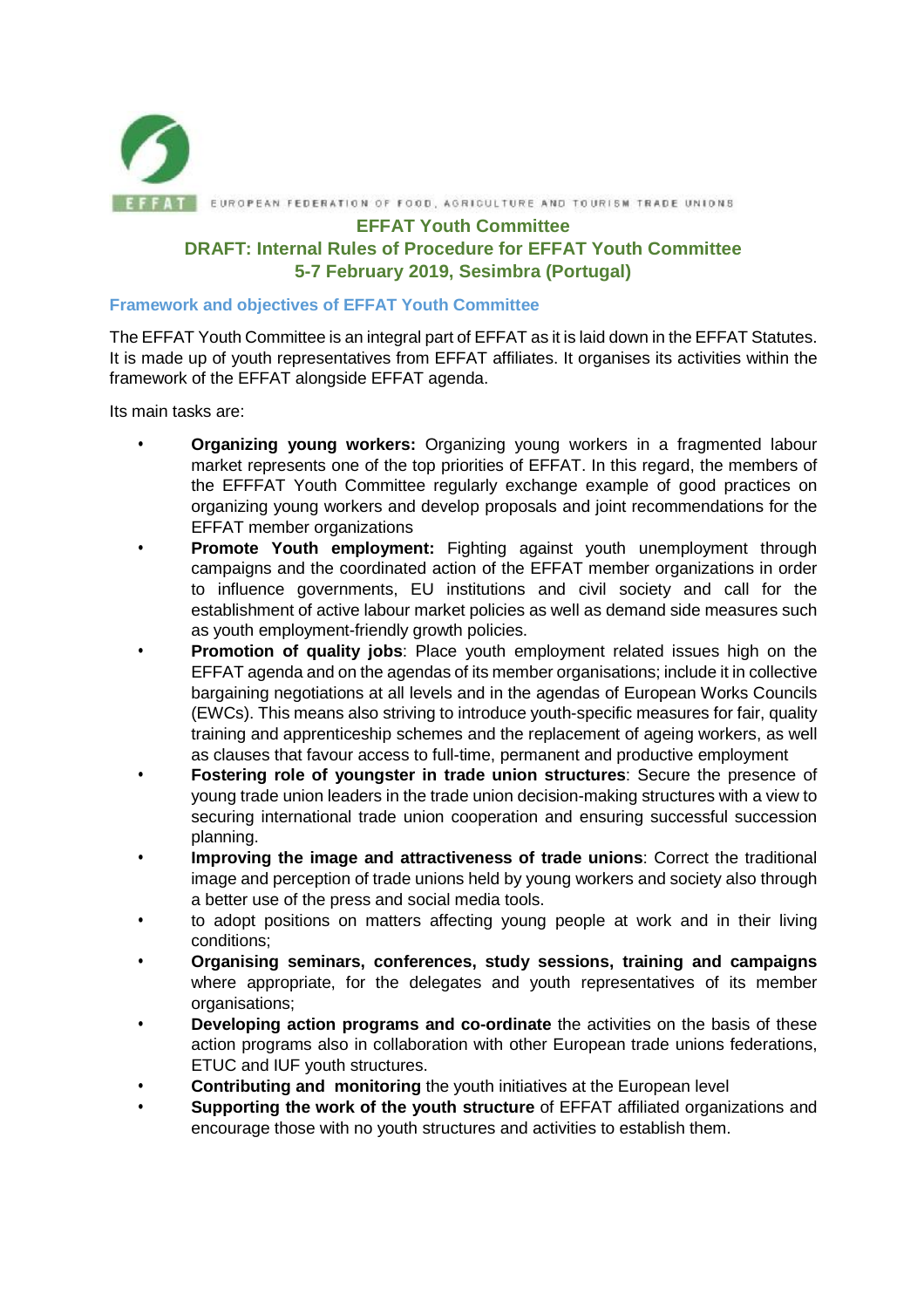

**EFFAT Youth Committee** 

## **DRAFT: Internal Rules of Procedure for EFFAT Youth Committee 5-7 February 2019, Sesimbra (Portugal)**

#### **Framework and objectives of EFFAT Youth Committee**

The EFFAT Youth Committee is an integral part of EFFAT as it is laid down in the EFFAT Statutes. It is made up of youth representatives from EFFAT affiliates. It organises its activities within the framework of the EFFAT alongside EFFAT agenda.

Its main tasks are:

- **Organizing young workers:** Organizing young workers in a fragmented labour market represents one of the top priorities of EFFAT. In this regard, the members of the EFFFAT Youth Committee regularly exchange example of good practices on organizing young workers and develop proposals and joint recommendations for the EFFAT member organizations
- **Promote Youth employment:** Fighting against youth unemployment through campaigns and the coordinated action of the EFFAT member organizations in order to influence governments, EU institutions and civil society and call for the establishment of active labour market policies as well as demand side measures such as youth employment-friendly growth policies.
- **Promotion of quality jobs**: Place youth employment related issues high on the EFFAT agenda and on the agendas of its member organisations; include it in collective bargaining negotiations at all levels and in the agendas of European Works Councils (EWCs). This means also striving to introduce youth-specific measures for fair, quality training and apprenticeship schemes and the replacement of ageing workers, as well as clauses that favour access to full-time, permanent and productive employment
- **Fostering role of youngster in trade union structures**: Secure the presence of young trade union leaders in the trade union decision-making structures with a view to securing international trade union cooperation and ensuring successful succession planning.
- **Improving the image and attractiveness of trade unions**: Correct the traditional image and perception of trade unions held by young workers and society also through a better use of the press and social media tools.
- to adopt positions on matters affecting young people at work and in their living conditions;
- **Organising seminars, conferences, study sessions, training and campaigns** where appropriate, for the delegates and youth representatives of its member organisations;
- **Developing action programs and co-ordinate** the activities on the basis of these action programs also in collaboration with other European trade unions federations, ETUC and IUF youth structures.
- **Contributing and monitoring** the youth initiatives at the European level
- **Supporting the work of the youth structure** of EFFAT affiliated organizations and encourage those with no youth structures and activities to establish them.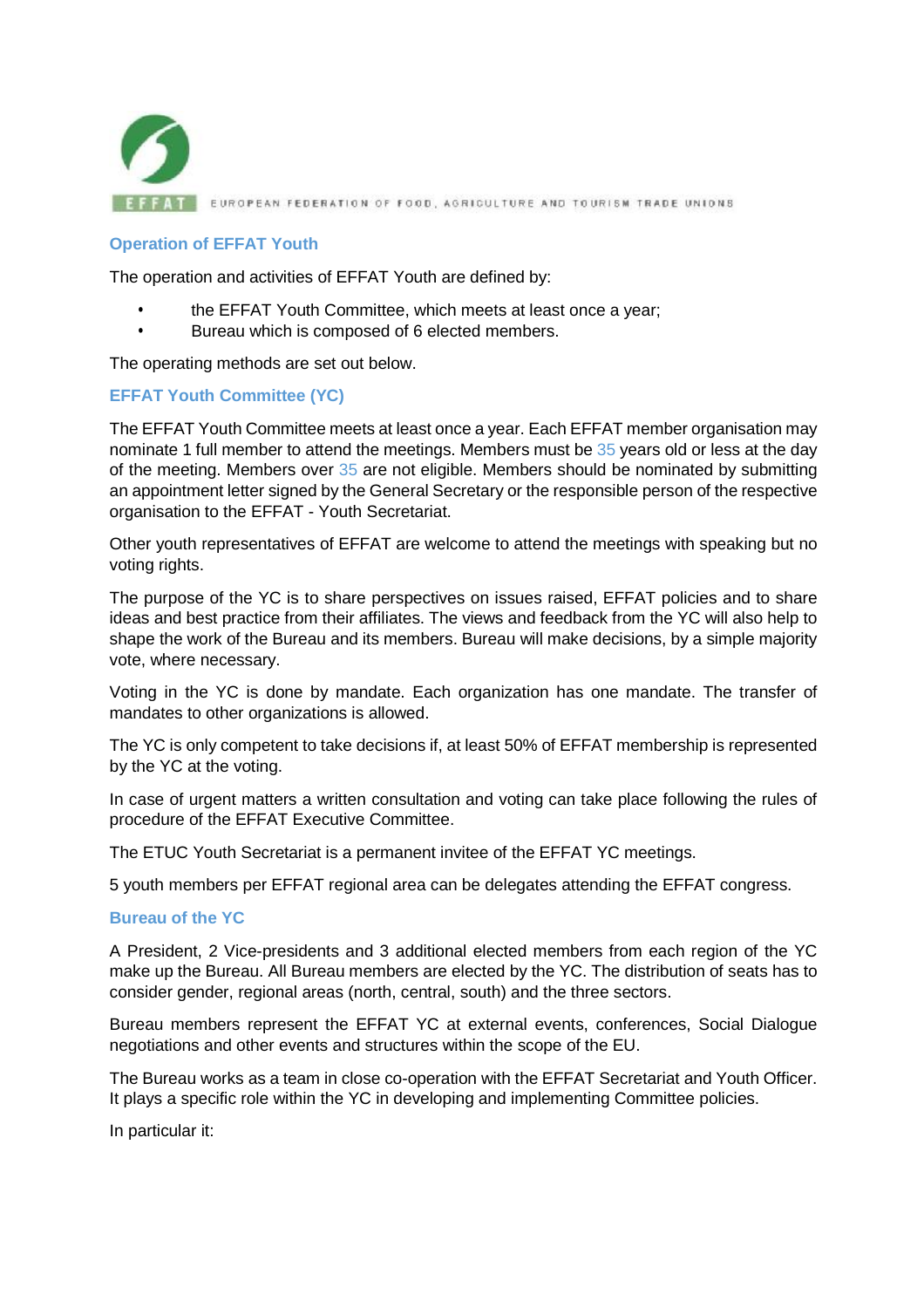

### **Operation of EFFAT Youth**

The operation and activities of EFFAT Youth are defined by:

- the EFFAT Youth Committee, which meets at least once a year;
- Bureau which is composed of 6 elected members.

The operating methods are set out below.

## **EFFAT Youth Committee (YC)**

The EFFAT Youth Committee meets at least once a year. Each EFFAT member organisation may nominate 1 full member to attend the meetings. Members must be 35 years old or less at the day of the meeting. Members over 35 are not eligible. Members should be nominated by submitting an appointment letter signed by the General Secretary or the responsible person of the respective organisation to the EFFAT - Youth Secretariat.

Other youth representatives of EFFAT are welcome to attend the meetings with speaking but no voting rights.

The purpose of the YC is to share perspectives on issues raised, EFFAT policies and to share ideas and best practice from their affiliates. The views and feedback from the YC will also help to shape the work of the Bureau and its members. Bureau will make decisions, by a simple majority vote, where necessary.

Voting in the YC is done by mandate. Each organization has one mandate. The transfer of mandates to other organizations is allowed.

The YC is only competent to take decisions if, at least 50% of EFFAT membership is represented by the YC at the voting.

In case of urgent matters a written consultation and voting can take place following the rules of procedure of the EFFAT Executive Committee.

The ETUC Youth Secretariat is a permanent invitee of the EFFAT YC meetings.

5 youth members per EFFAT regional area can be delegates attending the EFFAT congress.

### **Bureau of the YC**

A President, 2 Vice-presidents and 3 additional elected members from each region of the YC make up the Bureau. All Bureau members are elected by the YC. The distribution of seats has to consider gender, regional areas (north, central, south) and the three sectors.

Bureau members represent the EFFAT YC at external events, conferences, Social Dialogue negotiations and other events and structures within the scope of the EU.

The Bureau works as a team in close co-operation with the EFFAT Secretariat and Youth Officer. It plays a specific role within the YC in developing and implementing Committee policies.

In particular it: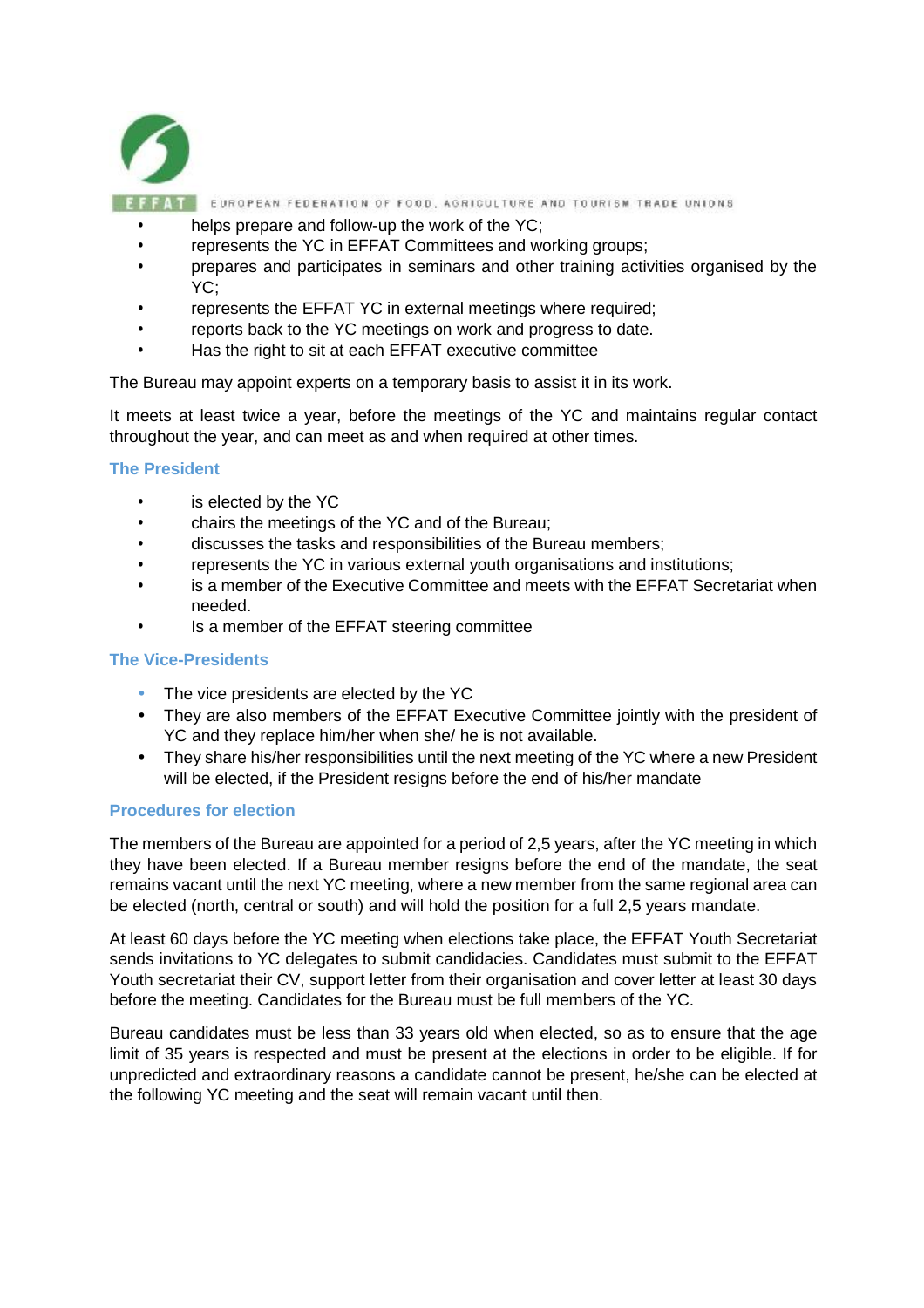

- helps prepare and follow-up the work of the YC:
- represents the YC in EFFAT Committees and working groups;
- prepares and participates in seminars and other training activities organised by the YC;
- represents the EFFAT YC in external meetings where required;
- reports back to the YC meetings on work and progress to date.
- Has the right to sit at each EFFAT executive committee

The Bureau may appoint experts on a temporary basis to assist it in its work.

It meets at least twice a year, before the meetings of the YC and maintains regular contact throughout the year, and can meet as and when required at other times.

#### **The President**

- is elected by the YC
- chairs the meetings of the YC and of the Bureau;
- discusses the tasks and responsibilities of the Bureau members;
- represents the YC in various external youth organisations and institutions;
- is a member of the Executive Committee and meets with the EFFAT Secretariat when needed.
- Is a member of the EFFAT steering committee

### **The Vice-Presidents**

- The vice presidents are elected by the YC
- They are also members of the EFFAT Executive Committee jointly with the president of YC and they replace him/her when she/ he is not available.
- They share his/her responsibilities until the next meeting of the YC where a new President will be elected, if the President resigns before the end of his/her mandate

#### **Procedures for election**

The members of the Bureau are appointed for a period of 2,5 years, after the YC meeting in which they have been elected. If a Bureau member resigns before the end of the mandate, the seat remains vacant until the next YC meeting, where a new member from the same regional area can be elected (north, central or south) and will hold the position for a full 2,5 years mandate.

At least 60 days before the YC meeting when elections take place, the EFFAT Youth Secretariat sends invitations to YC delegates to submit candidacies. Candidates must submit to the EFFAT Youth secretariat their CV, support letter from their organisation and cover letter at least 30 days before the meeting. Candidates for the Bureau must be full members of the YC.

Bureau candidates must be less than 33 years old when elected, so as to ensure that the age limit of 35 years is respected and must be present at the elections in order to be eligible. If for unpredicted and extraordinary reasons a candidate cannot be present, he/she can be elected at the following YC meeting and the seat will remain vacant until then.